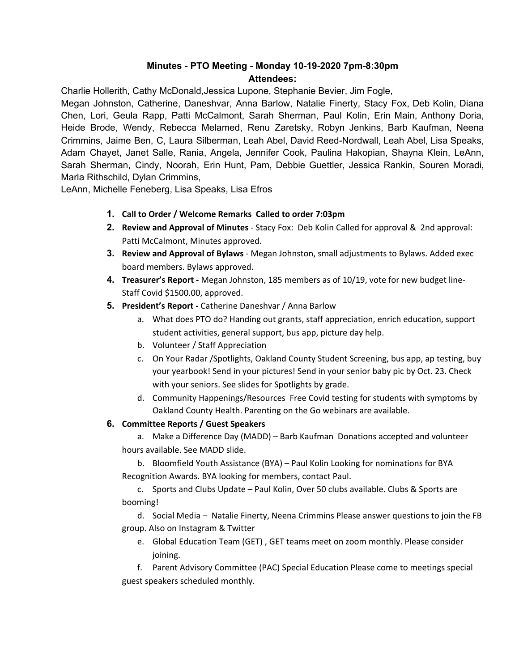# **Minutes - PTO Meeting - Monday 10-19-2020 7pm-8:30pm Attendees:**

Charlie Hollerith, Cathy McDonald,Jessica Lupone, Stephanie Bevier, Jim Fogle,

Megan Johnston, Catherine, Daneshvar, Anna Barlow, Natalie Finerty, Stacy Fox, Deb Kolin, Diana Chen, Lori, Geula Rapp, Patti McCalmont, Sarah Sherman, Paul Kolin, Erin Main, Anthony Doria, Heide Brode, Wendy, Rebecca Melamed, Renu Zaretsky, Robyn Jenkins, Barb Kaufman, Neena Crimmins, Jaime Ben, C, Laura Silberman, Leah Abel, David Reed-Nordwall, Leah Abel, Lisa Speaks, Adam Chayet, Janet Salle, Rania, Angela, Jennifer Cook, Paulina Hakopian, Shayna Klein, LeAnn, Sarah Sherman, Cindy, Noorah, Erin Hunt, Pam, Debbie Guettler, Jessica Rankin, Souren Moradi, Marla Rithschild, Dylan Crimmins,

LeAnn, Michelle Feneberg, Lisa Speaks, Lisa Efros

- **1. Call to Order / Welcome Remarks Called to order 7:03pm**
- **2. Review and Approval of Minutes** Stacy Fox: Deb Kolin Called for approval & 2nd approval: Patti McCalmont, Minutes approved.
- **3. Review and Approval of Bylaws** Megan Johnston, small adjustments to Bylaws. Added exec board members. Bylaws approved.
- **4. Treasurer's Report -** Megan Johnston, 185 members as of 10/19, vote for new budget line-Staff Covid \$1500.00, approved.
- **5. President's Report -** Catherine Daneshvar / Anna Barlow
	- a. What does PTO do? Handing out grants, staff appreciation, enrich education, support student activities, general support, bus app, picture day help.
	- b. Volunteer / Staff Appreciation
	- c. On Your Radar /Spotlights, Oakland County Student Screening, bus app, ap testing, buy your yearbook! Send in your pictures! Send in your senior baby pic by Oct. 23. Check with your seniors. See slides for Spotlights by grade.
	- d. Community Happenings/Resources Free Covid testing for students with symptoms by Oakland County Health. Parenting on the Go webinars are available.

## **6. Committee Reports / Guest Speakers**

a. Make a Difference Day (MADD) – Barb Kaufman Donations accepted and volunteer hours available. See MADD slide.

b. Bloomfield Youth Assistance (BYA) – Paul Kolin Looking for nominations for BYA Recognition Awards. BYA looking for members, contact Paul.

c. Sports and Clubs Update – Paul Kolin, Over 50 clubs available. Clubs & Sports are booming!

d. Social Media – Natalie Finerty, Neena Crimmins Please answer questions to join the FB group. Also on Instagram & Twitter

e. Global Education Team (GET) , GET teams meet on zoom monthly. Please consider joining.

f. Parent Advisory Committee (PAC) Special Education Please come to meetings special guest speakers scheduled monthly.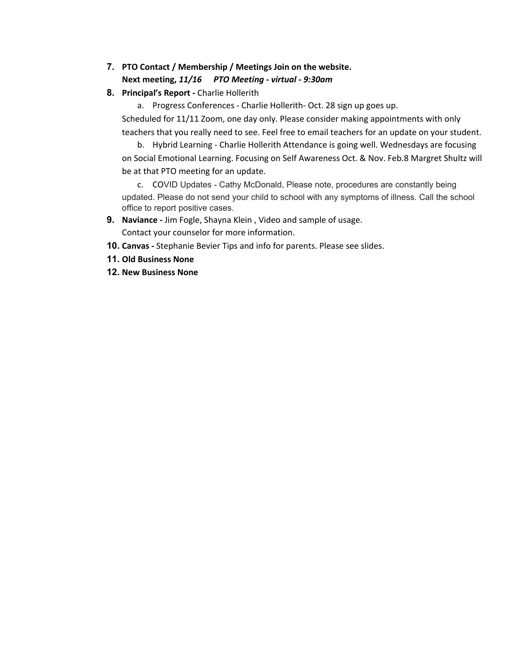## **7. PTO Contact / Membership / Meetings Join on the website. Next meeting,** *11/16 PTO Meeting - virtual - 9:30am*

### **8. Principal's Report -** Charlie Hollerith

a. Progress Conferences - Charlie Hollerith- Oct. 28 sign up goes up. Scheduled for 11/11 Zoom, one day only. Please consider making appointments with only teachers that you really need to see. Feel free to email teachers for an update on your student.

b. Hybrid Learning - Charlie Hollerith Attendance is going well. Wednesdays are focusing on Social Emotional Learning. Focusing on Self Awareness Oct. & Nov. Feb.8 Margret Shultz will be at that PTO meeting for an update.

c. COVID Updates - Cathy McDonald, Please note, procedures are constantly being updated. Please do not send your child to school with any symptoms of illness. Call the school office to report positive cases.

- **9. Naviance -** Jim Fogle, Shayna Klein , Video and sample of usage. Contact your counselor for more information.
- **10. Canvas -** Stephanie Bevier Tips and info for parents. Please see slides.
- **11. Old Business None**
- **12. New Business None**